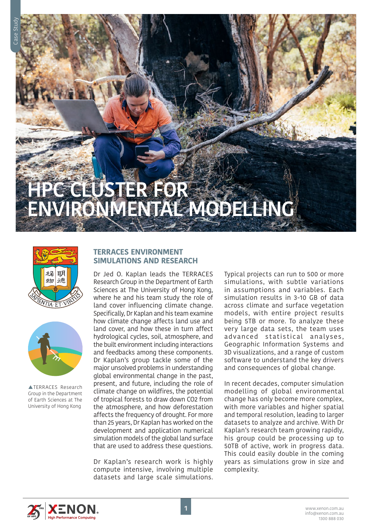# **HPC CLUSTER FOR**  ENVIRONMENTAL MODELLING





**ATERRACES** Research Group in the Department of Earth Sciences at The University of Hong Kong

## **TERRACES ENVIRONMENT SIMULATIONS AND RESEARCH**

Dr Jed O. Kaplan leads the TERRACES Research Group in the Department of Earth Sciences at The University of Hong Kong, where he and his team study the role of land cover influencing climate change. Specifically, Dr Kaplan and his team examine how climate change affects land use and land cover, and how these in turn affect hydrological cycles, soil, atmosphere, and the built environment including interactions and feedbacks among these components. Dr Kaplan's group tackle some of the major unsolved problems in understanding global environmental change in the past, present, and future, including the role of climate change on wildfires, the potential of tropical forests to draw down CO2 from the atmosphere, and how deforestation affects the frequency of drought. For more than 25 years, Dr Kaplan has worked on the development and application numerical simulation models of the global land surface that are used to address these questions.

Dr Kaplan's research work is highly compute intensive, involving multiple datasets and large scale simulations. Typical projects can run to 500 or more simulations, with subtle variations in assumptions and variables. Each simulation results in 3-10 GB of data across climate and surface vegetation models, with entire project results being 5TB or more. To analyze these very large data sets, the team uses advanced statistical analyses, Geographic Information Systems and 3D visualizations, and a range of custom software to understand the key drivers and consequences of global change.

In recent decades, computer simulation modelling of global environmental change has only become more complex, with more variables and higher spatial and temporal resolution, leading to larger datasets to analyze and archive. With Dr Kaplan's research team growing rapidly, his group could be processing up to 50TB of active, work in progress data. This could easily double in the coming years as simulations grow in size and complexity.

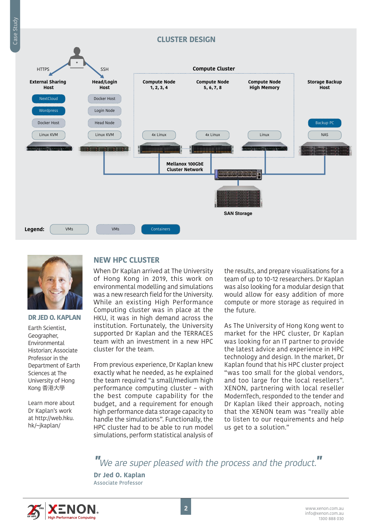



#### **DR JED O. KAPLAN**

Earth Scientist, Geographer, Environmental Historian; Associate Professor in the Department of Earth Sciences at The University of Hong Kong 香港大學

Learn more about Dr Kaplan's work at http://web.hku. hk/~jkaplan/

## **NEW HPC CLUSTER**

When Dr Kaplan arrived at The University of Hong Kong in 2019, this work on environmental modelling and simulations was a new research field for the University. While an existing High Performance Computing cluster was in place at the HKU, it was in high demand across the institution. Fortunately, the University supported Dr Kaplan and the TERRACES team with an investment in a new HPC cluster for the team.

From previous experience, Dr Kaplan knew exactly what he needed, as he explained the team required "a small/medium high performance computing cluster – with the best compute capability for the budget, and a requirement for enough high performance data storage capacity to handle the simulations". Functionally, the HPC cluster had to be able to run model simulations, perform statistical analysis of the results, and prepare visualisations for a team of up to 10-12 researchers. Dr Kaplan was also looking for a modular design that would allow for easy addition of more compute or more storage as required in the future.

As The University of Hong Kong went to market for the HPC cluster, Dr Kaplan was looking for an IT partner to provide the latest advice and experience in HPC technology and design. In the market, Dr Kaplan found that his HPC cluster project "was too small for the global vendors, and too large for the local resellers". XENON, partnering with local reseller ModernTech, responded to the tender and Dr Kaplan liked their approach, noting that the XENON team was "really able to listen to our requirements and help us get to a solution."

**"**We are super pleased with the process and the product.**"**

**Dr Jed O. Kaplan** Associate Professor

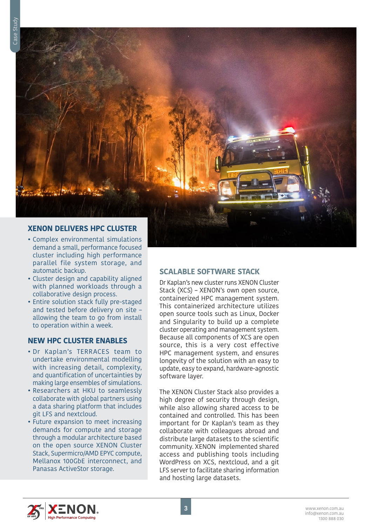

- Complex environmental simulations demand a small, performance focused cluster including high performance parallel file system storage, and automatic backup.
- Cluster design and capability aligned with planned workloads through a collaborative design process.
- Entire solution stack fully pre-staged and tested before delivery on site – allowing the team to go from install to operation within a week.

## **NEW HPC CLUSTER ENABLES**

- Dr Kaplan's TERRACES team to undertake environmental modelling with increasing detail, complexity, and quantification of uncertainties by making large ensembles of simulations.
- Researchers at HKU to seamlessly collaborate with global partners using a data sharing platform that includes git LFS and nextcloud.
- Future expansion to meet increasing demands for compute and storage through a modular architecture based on the open source XENON Cluster Stack, Supermicro/AMD EPYC compute, Mellanox 100GbE interconnect, and Panasas ActiveStor storage.

## **SCALABLE SOFTWARE STACK**

Dr Kaplan's new cluster runs XENON Cluster Stack (XCS) – XENON's own open source, containerized HPC management system. This containerized architecture utilizes open source tools such as Linux, Docker and Singularity to build up a complete cluster operating and management system. Because all components of XCS are open source, this is a very cost effective HPC management system, and ensures longevity of the solution with an easy to update, easy to expand, hardware-agnostic software layer.

The XENON Cluster Stack also provides a high degree of security through design, while also allowing shared access to be contained and controlled. This has been important for Dr Kaplan's team as they collaborate with colleagues abroad and distribute large datasets to the scientific community. XENON implemented shared access and publishing tools including WordPress on XCS, nextcloud, and a git LFS server to facilitate sharing information and hosting large datasets.